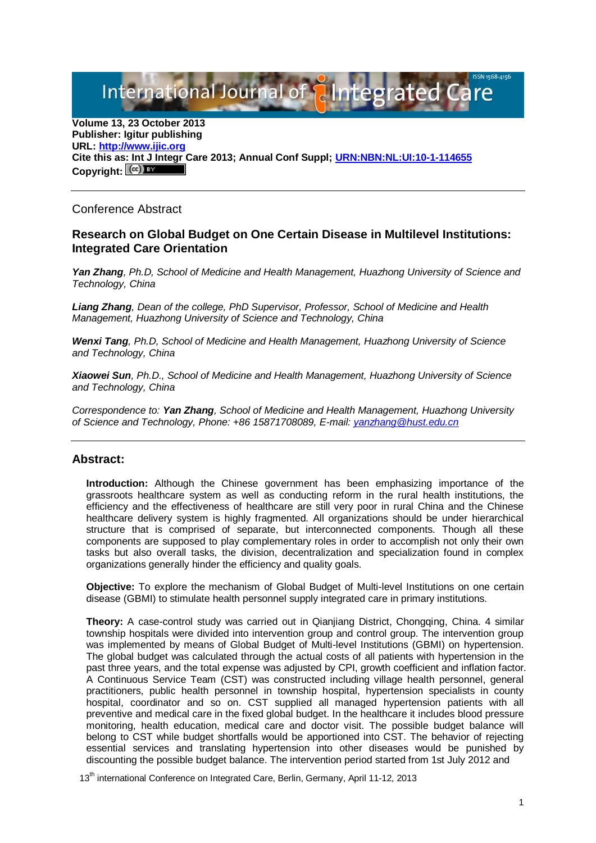International Journal of **Plntegrated** 

**Volume 13, 23 October 2013 Publisher: Igitur publishing URL[: http://www.ijic.org](http://www.ijic.org/) Cite this as: Int J Integr Care 2013; Annual Conf Suppl; [URN:NBN:NL:UI:10-1-114655](http://persistent-identifier.nl/?identifier=URN:NBN:NL:UI:10-1-114655)** Copyright:  $(cc)$ 

## Conference Abstract

## **Research on Global Budget on One Certain Disease in Multilevel Institutions: Integrated Care Orientation**

*Yan Zhang, Ph.D, School of Medicine and Health Management, Huazhong University of Science and Technology, China*

*Liang Zhang, Dean of the college, PhD Supervisor, Professor, School of Medicine and Health Management, Huazhong University of Science and Technology, China*

*Wenxi Tang, Ph.D, School of Medicine and Health Management, Huazhong University of Science and Technology, China*

*Xiaowei Sun, Ph.D., School of Medicine and Health Management, Huazhong University of Science and Technology, China*

*Correspondence to: Yan Zhang, School of Medicine and Health Management, Huazhong University of Science and Technology, Phone: +86 15871708089, E-mail: [yanzhang@hust.edu.cn](mailto:yanzhang@hust.edu.cn)*

## **Abstract:**

**Introduction:** Although the Chinese government has been emphasizing importance of the grassroots healthcare system as well as conducting reform in the rural health institutions, the efficiency and the effectiveness of healthcare are still very poor in rural China and the Chinese healthcare delivery system is highly fragmented. All organizations should be under hierarchical structure that is comprised of separate, but interconnected components. Though all these components are supposed to play complementary roles in order to accomplish not only their own tasks but also overall tasks, the division, decentralization and specialization found in complex organizations generally hinder the efficiency and quality goals.

**Objective:** To explore the mechanism of Global Budget of Multi-level Institutions on one certain disease (GBMI) to stimulate health personnel supply integrated care in primary institutions.

**Theory:** A case-control study was carried out in Qianjiang District, Chongqing, China. 4 similar township hospitals were divided into intervention group and control group. The intervention group was implemented by means of Global Budget of Multi-level Institutions (GBMI) on hypertension. The global budget was calculated through the actual costs of all patients with hypertension in the past three years, and the total expense was adjusted by CPI, growth coefficient and inflation factor. A Continuous Service Team (CST) was constructed including village health personnel, general practitioners, public health personnel in township hospital, hypertension specialists in county hospital, coordinator and so on. CST supplied all managed hypertension patients with all preventive and medical care in the fixed global budget. In the healthcare it includes blood pressure monitoring, health education, medical care and doctor visit. The possible budget balance will belong to CST while budget shortfalls would be apportioned into CST. The behavior of rejecting essential services and translating hypertension into other diseases would be punished by discounting the possible budget balance. The intervention period started from 1st July 2012 and

13<sup>th</sup> international Conference on Integrated Care, Berlin, Germany, April 11-12, 2013